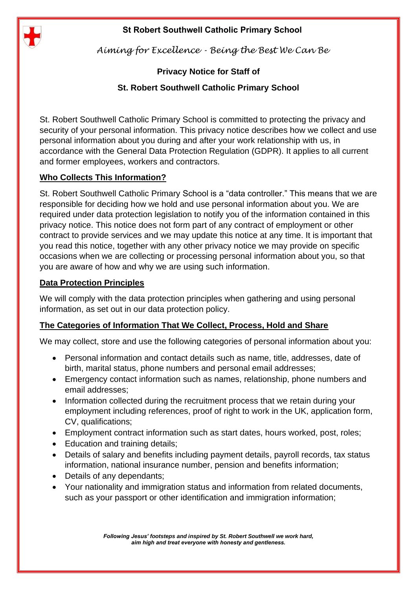

*Aiming for Excellence - Being the Best We Can Be*

# **Privacy Notice for Staff of**

# **St. Robert Southwell Catholic Primary School**

St. Robert Southwell Catholic Primary School is committed to protecting the privacy and security of your personal information. This privacy notice describes how we collect and use personal information about you during and after your work relationship with us, in accordance with the General Data Protection Regulation (GDPR). It applies to all current and former employees, workers and contractors.

# **Who Collects This Information?**

St. Robert Southwell Catholic Primary School is a "data controller." This means that we are responsible for deciding how we hold and use personal information about you. We are required under data protection legislation to notify you of the information contained in this privacy notice. This notice does not form part of any contract of employment or other contract to provide services and we may update this notice at any time. It is important that you read this notice, together with any other privacy notice we may provide on specific occasions when we are collecting or processing personal information about you, so that you are aware of how and why we are using such information.

# **Data Protection Principles**

We will comply with the data protection principles when gathering and using personal information, as set out in our data protection policy.

# **The Categories of Information That We Collect, Process, Hold and Share**

We may collect, store and use the following categories of personal information about you:

- Personal information and contact details such as name, title, addresses, date of birth, marital status, phone numbers and personal email addresses;
- Emergency contact information such as names, relationship, phone numbers and email addresses;
- Information collected during the recruitment process that we retain during your employment including references, proof of right to work in the UK, application form, CV, qualifications;
- Employment contract information such as start dates, hours worked, post, roles;
- Education and training details;
- Details of salary and benefits including payment details, payroll records, tax status information, national insurance number, pension and benefits information;
- Details of any dependants;
- Your nationality and immigration status and information from related documents, such as your passport or other identification and immigration information;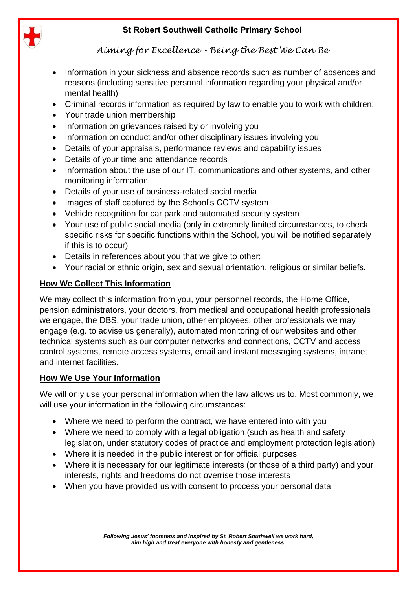

*Aiming for Excellence - Being the Best We Can Be*

- Information in your sickness and absence records such as number of absences and reasons (including sensitive personal information regarding your physical and/or mental health)
- Criminal records information as required by law to enable you to work with children;
- Your trade union membership
- Information on grievances raised by or involving you
- Information on conduct and/or other disciplinary issues involving you
- Details of your appraisals, performance reviews and capability issues
- Details of your time and attendance records
- Information about the use of our IT, communications and other systems, and other monitoring information
- Details of your use of business-related social media
- Images of staff captured by the School's CCTV system
- Vehicle recognition for car park and automated security system
- Your use of public social media (only in extremely limited circumstances, to check specific risks for specific functions within the School, you will be notified separately if this is to occur)
- Details in references about you that we give to other;
- Your racial or ethnic origin, sex and sexual orientation, religious or similar beliefs.

### **How We Collect This Information**

We may collect this information from you, your personnel records, the Home Office, pension administrators, your doctors, from medical and occupational health professionals we engage, the DBS, your trade union, other employees, other professionals we may engage (e.g. to advise us generally), automated monitoring of our websites and other technical systems such as our computer networks and connections, CCTV and access control systems, remote access systems, email and instant messaging systems, intranet and internet facilities.

#### **How We Use Your Information**

We will only use your personal information when the law allows us to. Most commonly, we will use your information in the following circumstances:

- Where we need to perform the contract, we have entered into with you
- Where we need to comply with a legal obligation (such as health and safety legislation, under statutory codes of practice and employment protection legislation)
- Where it is needed in the public interest or for official purposes
- Where it is necessary for our legitimate interests (or those of a third party) and your interests, rights and freedoms do not overrise those interests
- When you have provided us with consent to process your personal data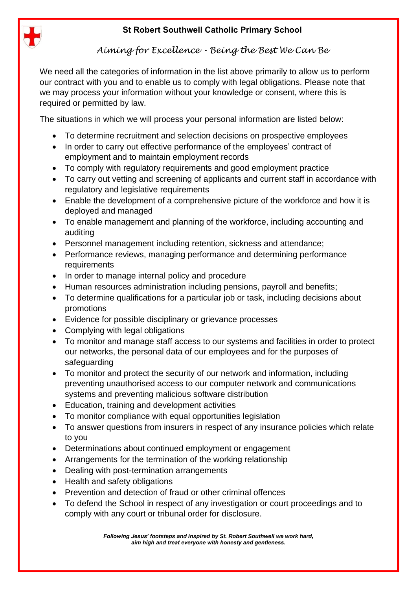

*Aiming for Excellence - Being the Best We Can Be*

We need all the categories of information in the list above primarily to allow us to perform our contract with you and to enable us to comply with legal obligations. Please note that we may process your information without your knowledge or consent, where this is required or permitted by law.

The situations in which we will process your personal information are listed below:

- To determine recruitment and selection decisions on prospective employees
- In order to carry out effective performance of the employees' contract of employment and to maintain employment records
- To comply with regulatory requirements and good employment practice
- To carry out vetting and screening of applicants and current staff in accordance with regulatory and legislative requirements
- Enable the development of a comprehensive picture of the workforce and how it is deployed and managed
- To enable management and planning of the workforce, including accounting and auditing
- Personnel management including retention, sickness and attendance;
- Performance reviews, managing performance and determining performance **requirements**
- In order to manage internal policy and procedure
- Human resources administration including pensions, payroll and benefits;
- To determine qualifications for a particular job or task, including decisions about promotions
- Evidence for possible disciplinary or grievance processes
- Complying with legal obligations
- To monitor and manage staff access to our systems and facilities in order to protect our networks, the personal data of our employees and for the purposes of safeguarding
- To monitor and protect the security of our network and information, including preventing unauthorised access to our computer network and communications systems and preventing malicious software distribution
- Education, training and development activities
- To monitor compliance with equal opportunities legislation
- To answer questions from insurers in respect of any insurance policies which relate to you
- Determinations about continued employment or engagement
- Arrangements for the termination of the working relationship
- Dealing with post-termination arrangements
- Health and safety obligations
- Prevention and detection of fraud or other criminal offences
- To defend the School in respect of any investigation or court proceedings and to comply with any court or tribunal order for disclosure.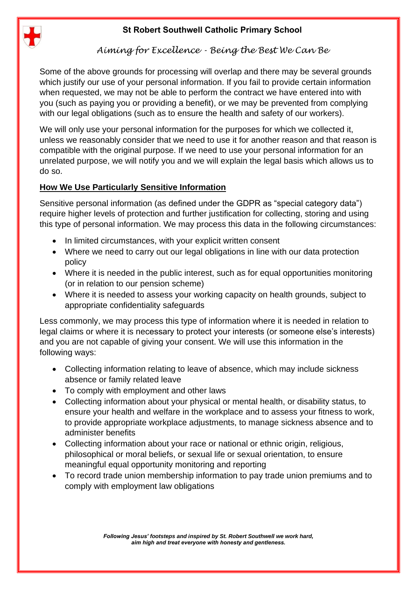

# *Aiming for Excellence - Being the Best We Can Be*

Some of the above grounds for processing will overlap and there may be several grounds which justify our use of your personal information. If you fail to provide certain information when requested, we may not be able to perform the contract we have entered into with you (such as paying you or providing a benefit), or we may be prevented from complying with our legal obligations (such as to ensure the health and safety of our workers).

We will only use your personal information for the purposes for which we collected it, unless we reasonably consider that we need to use it for another reason and that reason is compatible with the original purpose. If we need to use your personal information for an unrelated purpose, we will notify you and we will explain the legal basis which allows us to do so.

### **How We Use Particularly Sensitive Information**

Sensitive personal information (as defined under the GDPR as "special category data") require higher levels of protection and further justification for collecting, storing and using this type of personal information. We may process this data in the following circumstances:

- In limited circumstances, with your explicit written consent
- Where we need to carry out our legal obligations in line with our data protection policy
- Where it is needed in the public interest, such as for equal opportunities monitoring (or in relation to our pension scheme)
- Where it is needed to assess your working capacity on health grounds, subject to appropriate confidentiality safeguards

Less commonly, we may process this type of information where it is needed in relation to legal claims or where it is necessary to protect your interests (or someone else's interests) and you are not capable of giving your consent. We will use this information in the following ways:

- Collecting information relating to leave of absence, which may include sickness absence or family related leave
- To comply with employment and other laws
- Collecting information about your physical or mental health, or disability status, to ensure your health and welfare in the workplace and to assess your fitness to work, to provide appropriate workplace adjustments, to manage sickness absence and to administer benefits
- Collecting information about your race or national or ethnic origin, religious, philosophical or moral beliefs, or sexual life or sexual orientation, to ensure meaningful equal opportunity monitoring and reporting
- To record trade union membership information to pay trade union premiums and to comply with employment law obligations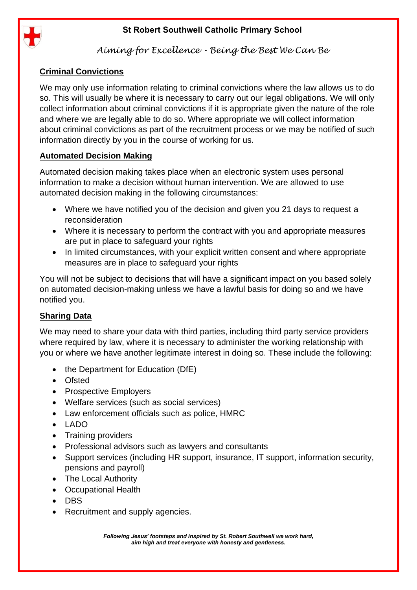

# *Aiming for Excellence - Being the Best We Can Be*

### **Criminal Convictions**

We may only use information relating to criminal convictions where the law allows us to do so. This will usually be where it is necessary to carry out our legal obligations. We will only collect information about criminal convictions if it is appropriate given the nature of the role and where we are legally able to do so. Where appropriate we will collect information about criminal convictions as part of the recruitment process or we may be notified of such information directly by you in the course of working for us.

### **Automated Decision Making**

Automated decision making takes place when an electronic system uses personal information to make a decision without human intervention. We are allowed to use automated decision making in the following circumstances:

- Where we have notified you of the decision and given you 21 days to request a reconsideration
- Where it is necessary to perform the contract with you and appropriate measures are put in place to safeguard your rights
- In limited circumstances, with your explicit written consent and where appropriate measures are in place to safeguard your rights

You will not be subject to decisions that will have a significant impact on you based solely on automated decision-making unless we have a lawful basis for doing so and we have notified you.

#### **Sharing Data**

We may need to share your data with third parties, including third party service providers where required by law, where it is necessary to administer the working relationship with you or where we have another legitimate interest in doing so. These include the following:

- the Department for Education (DfE)
- Ofsted
- Prospective Employers
- Welfare services (such as social services)
- Law enforcement officials such as police, HMRC
- LADO
- Training providers
- Professional advisors such as lawyers and consultants
- Support services (including HR support, insurance, IT support, information security, pensions and payroll)
- The Local Authority
- Occupational Health
- DBS
- Recruitment and supply agencies.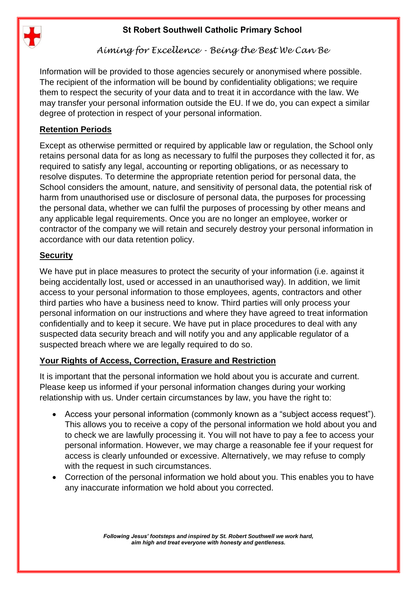

*Aiming for Excellence - Being the Best We Can Be*

Information will be provided to those agencies securely or anonymised where possible. The recipient of the information will be bound by confidentiality obligations; we require them to respect the security of your data and to treat it in accordance with the law. We may transfer your personal information outside the EU. If we do, you can expect a similar degree of protection in respect of your personal information.

### **Retention Periods**

Except as otherwise permitted or required by applicable law or regulation, the School only retains personal data for as long as necessary to fulfil the purposes they collected it for, as required to satisfy any legal, accounting or reporting obligations, or as necessary to resolve disputes. To determine the appropriate retention period for personal data, the School considers the amount, nature, and sensitivity of personal data, the potential risk of harm from unauthorised use or disclosure of personal data, the purposes for processing the personal data, whether we can fulfil the purposes of processing by other means and any applicable legal requirements. Once you are no longer an employee, worker or contractor of the company we will retain and securely destroy your personal information in accordance with our data retention policy.

#### **Security**

We have put in place measures to protect the security of your information (i.e. against it being accidentally lost, used or accessed in an unauthorised way). In addition, we limit access to your personal information to those employees, agents, contractors and other third parties who have a business need to know. Third parties will only process your personal information on our instructions and where they have agreed to treat information confidentially and to keep it secure. We have put in place procedures to deal with any suspected data security breach and will notify you and any applicable regulator of a suspected breach where we are legally required to do so.

#### **Your Rights of Access, Correction, Erasure and Restriction**

It is important that the personal information we hold about you is accurate and current. Please keep us informed if your personal information changes during your working relationship with us. Under certain circumstances by law, you have the right to:

- Access your personal information (commonly known as a "subject access request"). This allows you to receive a copy of the personal information we hold about you and to check we are lawfully processing it. You will not have to pay a fee to access your personal information. However, we may charge a reasonable fee if your request for access is clearly unfounded or excessive. Alternatively, we may refuse to comply with the request in such circumstances.
- Correction of the personal information we hold about you. This enables you to have any inaccurate information we hold about you corrected.